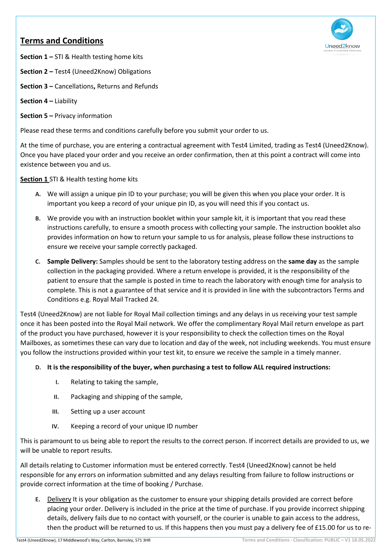# **Terms and Conditions**



**Section 1 –** STI & Health testing home kits

- **Section 2** Test4 (Uneed2Know) Obligations
- **Section 3** Cancellations**,** Returns and Refunds
- **Section 4** Liability

ֺ֝

**Section 5 –** Privacy information

Please read these terms and conditions carefully before you submit your order to us.

At the time of purchase, you are entering a contractual agreement with Test4 Limited, trading as Test4 (Uneed2Know). Once you have placed your order and you receive an order confirmation, then at this point a contract will come into existence between you and us.

## **Section 1** STI & Health testing home kits

- **A.** We will assign a unique pin ID to your purchase; you will be given this when you place your order. It is important you keep a record of your unique pin ID, as you will need this if you contact us.
- **B.** We provide you with an instruction booklet within your sample kit, it is important that you read these instructions carefully, to ensure a smooth process with collecting your sample. The instruction booklet also provides information on how to return your sample to us for analysis, please follow these instructions to ensure we receive your sample correctly packaged.
- **C. Sample Delivery:** Samples should be sent to the laboratory testing address on the **same day** as the sample collection in the packaging provided. Where a return envelope is provided, it is the responsibility of the patient to ensure that the sample is posted in time to reach the laboratory with enough time for analysis to complete. This is not a guarantee of that service and it is provided in line with the subcontractors Terms and Conditions e.g. Royal Mail Tracked 24.

Test4 (Uneed2Know) are not liable for Royal Mail collection timings and any delays in us receiving your test sample once it has been posted into the Royal Mail network. We offer the complimentary Royal Mail return envelope as part of the product you have purchased, however it is your responsibility to check the collection times on the Royal Mailboxes, as sometimes these can vary due to location and day of the week, not including weekends. You must ensure you follow the instructions provided within your test kit, to ensure we receive the sample in a timely manner.

## **D. It is the responsibility of the buyer, when purchasing a test to follow ALL required instructions:**

- **I.** Relating to taking the sample,
- **II.** Packaging and shipping of the sample,
- **III.** Setting up a user account
- **IV.** Keeping a record of your unique ID number

This is paramount to us being able to report the results to the correct person. If incorrect details are provided to us, we will be unable to report results.

All details relating to Customer information must be entered correctly. Test4 (Uneed2Know) cannot be held responsible for any errors on information submitted and any delays resulting from failure to follow instructions or provide correct information at the time of booking / Purchase.

**E.** Delivery It is your obligation as the customer to ensure your shipping details provided are correct before placing your order. Delivery is included in the price at the time of purchase. If you provide incorrect shipping details, delivery fails due to no contact with yourself, or the courier is unable to gain access to the address, then the product will be returned to us. If this happens then you must pay a delivery fee of £15.00 for us to re-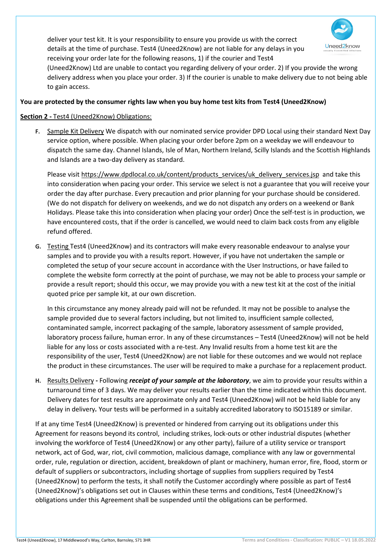

deliver your test kit. It is your responsibility to ensure you provide us with the correct details at the time of purchase. Test4 (Uneed2Know) are not liable for any delays in you receiving your order late for the following reasons, 1) if the courier and Test4

(Uneed2Know) Ltd are unable to contact you regarding delivery of your order. 2) If you provide the wrong delivery address when you place your order. 3) If the courier is unable to make delivery due to not being able to gain access.

## **You are protected by the consumer rights law when you buy home test kits from Test4 (Uneed2Know)**

## **Section 2 -** Test4 (Uneed2Know) Obligations:

ֺ֝

**F.** Sample Kit Delivery We dispatch with our nominated service provider DPD Local using their standard Next Day service option, where possible. When placing your order before 2pm on a weekday we will endeavour to dispatch the same day. Channel Islands, Isle of Man, Northern Ireland, Scilly Islands and the Scottish Highlands and Islands are a two-day delivery as standard.

Please visit [https://www.dpdlocal.co.uk/content/products\\_services/uk\\_delivery\\_services.jsp](https://www.dpdlocal.co.uk/content/products_services/uk_delivery_services.jsp) and take this into consideration when pacing your order. This service we select is not a guarantee that you will receive your order the day after purchase. Every precaution and prior planning for your purchase should be considered. (We do not dispatch for delivery on weekends, and we do not dispatch any orders on a weekend or Bank Holidays. Please take this into consideration when placing your order) Once the self-test is in production, we have encountered costs, that if the order is cancelled, we would need to claim back costs from any eligible refund offered.

**G.** Testing Test4 (Uneed2Know) and its contractors will make every reasonable endeavour to analyse your samples and to provide you with a results report. However, if you have not undertaken the sample or completed the setup of your secure account in accordance with the User Instructions, or have failed to complete the website form correctly at the point of purchase, we may not be able to process your sample or provide a result report; should this occur, we may provide you with a new test kit at the cost of the initial quoted price per sample kit, at our own discretion.

In this circumstance any money already paid will not be refunded. It may not be possible to analyse the sample provided due to several factors including, but not limited to, insufficient sample collected, contaminated sample, incorrect packaging of the sample, laboratory assessment of sample provided, laboratory process failure, human error. In any of these circumstances – Test4 (Uneed2Know) will not be held liable for any loss or costs associated with a re-test. Any Invalid results from a home test kit are the responsibility of the user, Test4 (Uneed2Know) are not liable for these outcomes and we would not replace the product in these circumstances. The user will be required to make a purchase for a replacement product.

**H.** Results Delivery **-** Following *receipt of your sample at the laboratory*, we aim to provide your results within a turnaround time of 3 days. We may deliver your results earlier than the time indicated within this document. Delivery dates for test results are approximate only and Test4 (Uneed2Know) will not be held liable for any delay in delivery*.* Your tests will be performed in a suitably accredited laboratory to ISO15189 or similar.

If at any time Test4 (Uneed2Know) is prevented or hindered from carrying out its obligations under this Agreement for reasons beyond its control, including strikes, lock-outs or other industrial disputes (whether involving the workforce of Test4 (Uneed2Know) or any other party), failure of a utility service or transport network, act of God, war, riot, civil commotion, malicious damage, compliance with any law or governmental order, rule, regulation or direction, accident, breakdown of plant or machinery, human error, fire, flood, storm or default of suppliers or subcontractors, including shortage of supplies from suppliers required by Test4 (Uneed2Know) to perform the tests, it shall notify the Customer accordingly where possible as part of Test4 (Uneed2Know)'s obligations set out in Clauses within these terms and conditions, Test4 (Uneed2Know)'s obligations under this Agreement shall be suspended until the obligations can be performed.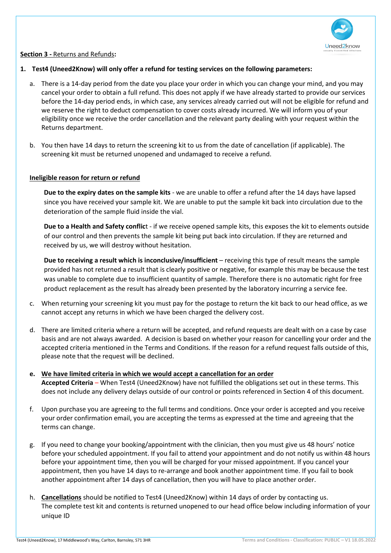

#### **Section 3 -** Returns and Refunds**:**

ֺ֝

#### **1. Test4 (Uneed2Know) will only offer a refund for testing services on the following parameters:**

- a. There is a 14-day period from the date you place your order in which you can change your mind, and you may cancel your order to obtain a full refund. This does not apply if we have already started to provide our services before the 14-day period ends, in which case, any services already carried out will not be eligible for refund and we reserve the right to deduct compensation to cover costs already incurred. We will inform you of your eligibility once we receive the order cancellation and the relevant party dealing with your request within the Returns department.
- b. You then have 14 days to return the screening kit to us from the date of cancellation (if applicable). The screening kit must be returned unopened and undamaged to receive a refund.

#### **Ineligible reason for return or refund**

**Due to the expiry dates on the sample kits** - we are unable to offer a refund after the 14 days have lapsed since you have received your sample kit. We are unable to put the sample kit back into circulation due to the deterioration of the sample fluid inside the vial.

**Due to a Health and Safety conflic**t - if we receive opened sample kits, this exposes the kit to elements outside of our control and then prevents the sample kit being put back into circulation. If they are returned and received by us, we will destroy without hesitation.

**Due to receiving a result which is inconclusive/insufficient** – receiving this type of result means the sample provided has not returned a result that is clearly positive or negative, for example this may be because the test was unable to complete due to insufficient quantity of sample. Therefore there is no automatic right for free product replacement as the result has already been presented by the laboratory incurring a service fee.

- c. When returning your screening kit you must pay for the postage to return the kit back to our head office, as we cannot accept any returns in which we have been charged the delivery cost.
- d. There are limited criteria where a return will be accepted, and refund requests are dealt with on a case by case basis and are not always awarded. A decision is based on whether your reason for cancelling your order and the accepted criteria mentioned in the Terms and Conditions. If the reason for a refund request falls outside of this, please note that the request will be declined.
- **e. We have limited criteria in which we would accept a cancellation for an order Accepted Criteria** – When Test4 (Uneed2Know) have not fulfilled the obligations set out in these terms. This does not include any delivery delays outside of our control or points referenced in Section 4 of this document.
- f. Upon purchase you are agreeing to the full terms and conditions. Once your order is accepted and you receive your order confirmation email, you are accepting the terms as expressed at the time and agreeing that the terms can change.
- g. If you need to change your booking/appointment with the clinician, then you must give us 48 hours' notice before your scheduled appointment. If you fail to attend your appointment and do not notify us within 48 hours before your appointment time, then you will be charged for your missed appointment. If you cancel your appointment, then you have 14 days to re-arrange and book another appointment time. If you fail to book another appointment after 14 days of cancellation, then you will have to place another order.
- h. **Cancellations** should be notified to Test4 (Uneed2Know) within 14 days of order by contacting us. The complete test kit and contents is returned unopened to our head office below including information of your unique ID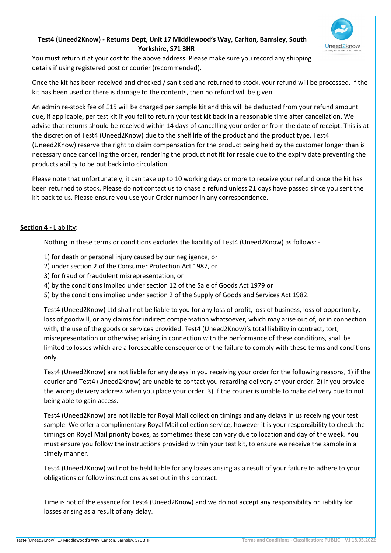

# **Test4 (Uneed2Know) - Returns Dept, Unit 17 Middlewood's Way, Carlton, Barnsley, South Yorkshire, S71 3HR**

You must return it at your cost to the above address. Please make sure you record any shipping details if using registered post or courier (recommended).

Once the kit has been received and checked / sanitised and returned to stock, your refund will be processed. If the kit has been used or there is damage to the contents, then no refund will be given.

An admin re-stock fee of £15 will be charged per sample kit and this will be deducted from your refund amount due, if applicable, per test kit if you fail to return your test kit back in a reasonable time after cancellation. We advise that returns should be received within 14 days of cancelling your order or from the date of receipt. This is at the discretion of Test4 (Uneed2Know) due to the shelf life of the product and the product type. Test4 (Uneed2Know) reserve the right to claim compensation for the product being held by the customer longer than is necessary once cancelling the order, rendering the product not fit for resale due to the expiry date preventing the products ability to be put back into circulation.

Please note that unfortunately, it can take up to 10 working days or more to receive your refund once the kit has been returned to stock. Please do not contact us to chase a refund unless 21 days have passed since you sent the kit back to us. Please ensure you use your Order number in any correspondence.

## **Section 4 -** Liability**:**

ֺ֝

Nothing in these terms or conditions excludes the liability of Test4 (Uneed2Know) as follows: -

- 1) for death or personal injury caused by our negligence, or
- 2) under section 2 of the Consumer Protection Act 1987, or
- 3) for fraud or fraudulent misrepresentation, or
- 4) by the conditions implied under section 12 of the Sale of Goods Act 1979 or
- 5) by the conditions implied under section 2 of the Supply of Goods and Services Act 1982.

Test4 (Uneed2Know) Ltd shall not be liable to you for any loss of profit, loss of business, loss of opportunity, loss of goodwill, or any claims for indirect compensation whatsoever, which may arise out of, or in connection with, the use of the goods or services provided. Test4 (Uneed2Know)'s total liability in contract, tort, misrepresentation or otherwise; arising in connection with the performance of these conditions, shall be limited to losses which are a foreseeable consequence of the failure to comply with these terms and conditions only.

Test4 (Uneed2Know) are not liable for any delays in you receiving your order for the following reasons, 1) if the courier and Test4 (Uneed2Know) are unable to contact you regarding delivery of your order. 2) If you provide the wrong delivery address when you place your order. 3) If the courier is unable to make delivery due to not being able to gain access.

Test4 (Uneed2Know) are not liable for Royal Mail collection timings and any delays in us receiving your test sample. We offer a complimentary Royal Mail collection service, however it is your responsibility to check the timings on Royal Mail priority boxes, as sometimes these can vary due to location and day of the week. You must ensure you follow the instructions provided within your test kit, to ensure we receive the sample in a timely manner.

Test4 (Uneed2Know) will not be held liable for any losses arising as a result of your failure to adhere to your obligations or follow instructions as set out in this contract.

Time is not of the essence for Test4 (Uneed2Know) and we do not accept any responsibility or liability for losses arising as a result of any delay.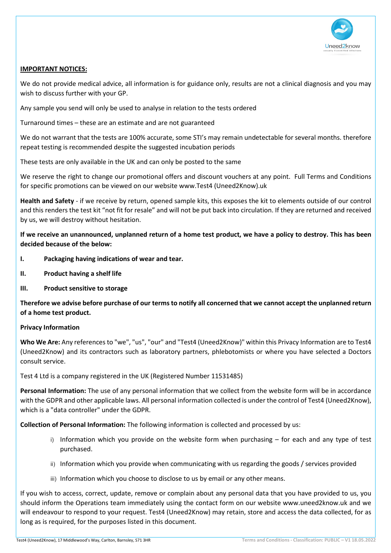

#### **IMPORTANT NOTICES:**

ֺ֝

We do not provide medical advice, all information is for guidance only, results are not a clinical diagnosis and you may wish to discuss further with your GP.

Any sample you send will only be used to analyse in relation to the tests ordered

Turnaround times – these are an estimate and are not guaranteed

We do not warrant that the tests are 100% accurate, some STI's may remain undetectable for several months. therefore repeat testing is recommended despite the suggested incubation periods

These tests are only available in the UK and can only be posted to the same

We reserve the right to change our promotional offers and discount vouchers at any point. Full Terms and Conditions for specific promotions can be viewed on our website www.Test4 (Uneed2Know).uk

**Health and Safety** - if we receive by return, opened sample kits, this exposes the kit to elements outside of our control and this renders the test kit "not fit for resale" and will not be put back into circulation. If they are returned and received by us, we will destroy without hesitation.

**If we receive an unannounced, unplanned return of a home test product, we have a policy to destroy. This has been decided because of the below:**

- **I. Packaging having indications of wear and tear.**
- **II. Product having a shelf life**
- **III. Product sensitive to storage**

**Therefore we advise before purchase of our terms to notify all concerned that we cannot accept the unplanned return of a home test product.**

#### **Privacy Information**

**Who We Are:** Any references to "we", "us", "our" and "Test4 (Uneed2Know)" within this Privacy Information are to Test4 (Uneed2Know) and its contractors such as laboratory partners, phlebotomists or where you have selected a Doctors consult service.

Test 4 Ltd is a company registered in the UK (Registered Number 11531485)

**Personal Information:** The use of any personal information that we collect from the website form will be in accordance with the GDPR and other applicable laws. All personal information collected is under the control of Test4 (Uneed2Know), which is a "data controller" under the GDPR.

**Collection of Personal Information:** The following information is collected and processed by us:

- i) Information which you provide on the website form when purchasing for each and any type of test purchased.
- ii) Information which you provide when communicating with us regarding the goods / services provided
- iii) Information which you choose to disclose to us by email or any other means.

If you wish to access, correct, update, remove or complain about any personal data that you have provided to us, you should inform the Operations team immediately using the contact form on our website www.uneed2know.uk and we will endeavour to respond to your request. Test4 (Uneed2Know) may retain, store and access the data collected, for as long as is required, for the purposes listed in this document.